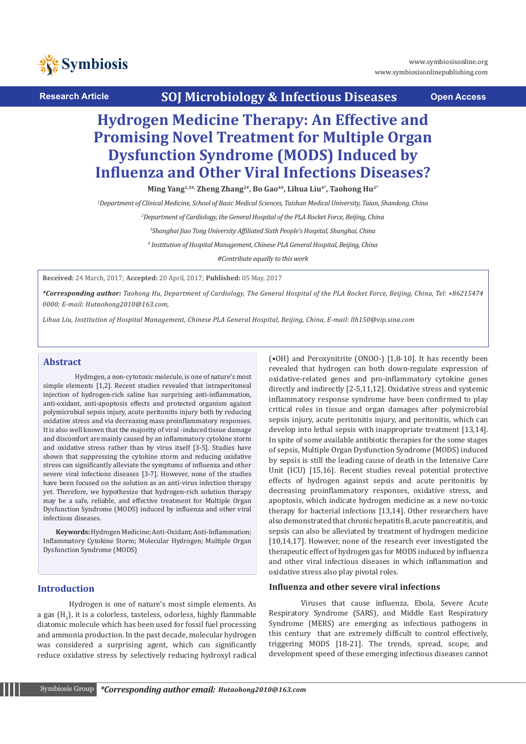

**Research Article SOJ Microbiology & Infectious Diseases Open Access**

# **Hydrogen Medicine Therapy: An Effective and Promising Novel Treatment for Multiple Organ Dysfunction Syndrome (MODS) Induced by Influenza and Other Viral Infections Diseases?**

Ming Yang<sup>1,3#,</sup> Zheng Zhang<sup>2#</sup>, Bo Gao<sup>4#</sup>, Lihua Liu<sup>4\*</sup>, Taohong Hu<sup>2\*</sup>

*1 Department of Clinical Medicine, School of Basic Medical Sciences, Taishan Medical University, Taian, Shandong, China*

*2 Department of Cardiology, the General Hospital of the PLA Rocket Force, Beijing, China*

*3 Shanghai Jiao Tong University Affiliated Sixth People's Hospital, Shanghai, China*

*4 Institution of Hospital Management, Chinese PLA General Hospital, Beijing, China*

*#Contribute equally to this work*

**Received:** 24 March, 2017; **Accepted:** 20 April, 2017; **Published:** 05 May, 2017

*\*Corresponding author: Taohong Hu, Department of Cardiology, The General Hospital of the PLA Rocket Force, Beijing, China, Tel: +86215474 0000; E-mail: Hutaohong2010@163.com,* 

*Lihua Liu, Institution of Hospital Management, Chinese PLA General Hospital, Beijing, China, E-mail: llh150@vip.sina.com*

## **Abstract**

Hydrogen, a non-cytotoxic molecule, is one of nature's most simple elements [1,2]. Recent studies revealed that intraperitoneal injection of hydrogen-rich saline has surprising anti-inflammation, anti-oxidant, anti-apoptosis effects and protected organism against polymicrobial sepsis injury, acute peritonitis injury both by reducing oxidative stress and via decreasing mass proinflammatory responses. It is also well known that the majority of viral -induced tissue damage and discomfort are mainly caused by an inflammatory cytokine storm and oxidative stress rather than by virus itself [3-5]. Studies have shown that suppressing the cytokine storm and reducing oxidative stress can significantly alleviate the symptoms of influenza and other severe viral infections diseases [3-7]. However, none of the studies have been focused on the solution as an anti-virus infection therapy yet. Therefore, we hypothesize that hydrogen-rich solution therapy may be a safe, reliable, and effective treatment for Multiple Organ Dysfunction Syndrome (MODS) induced by influenza and other viral infectious diseases.

**Keywords:** Hydrogen Medicine; Anti-Oxidant; Anti-Inflammation; Inflammatory Cytokine Storm; Molecular Hydrogen; Multiple Organ Dysfunction Syndrome (MODS)

# **Introduction**

Hydrogen is one of nature's most simple elements. As a gas  $(H_2)$ , it is a colorless, tasteless, odorless, highly flammable diatomic molecule which has been used for fossil fuel processing and ammonia production. In the past decade, molecular hydrogen was considered a surprising agent, which can significantly reduce oxidative stress by selectively reducing hydroxyl radical

(•OH) and Peroxynitrite (ONOO-) [1,8-10]. It has recently been revealed that hydrogen can both down-regulate expression of oxidative-related genes and pro-inflammatory cytokine genes directly and indirectly [2-5,11,12]. Oxidative stress and systemic inflammatory response syndrome have been confirmed to play critical roles in tissue and organ damages after polymicrobial sepsis injury, acute peritonitis injury, and peritonitis, which can develop into lethal sepsis with inappropriate treatment [13,14]. In spite of some available antibiotic therapies for the some stages of sepsis, Multiple Organ Dysfunction Syndrome (MODS) induced by sepsis is still the leading cause of death in the Intensive Care Unit (ICU) [15,16]. Recent studies reveal potential protective effects of hydrogen against sepsis and acute peritonitis by decreasing proinflammatory responses, oxidative stress, and apoptosis, which indicate hydrogen medicine as a new no-toxic therapy for bacterial infections [13,14]. Other researchers have also demonstrated that chronic hepatitis B, acute pancreatitis, and sepsis can also be alleviated by treatment of hydrogen medicine [10,14,17]. However, none of the research ever investigated the therapeutic effect of hydrogen gas for MODS induced by influenza and other viral infectious diseases in which inflammation and oxidative stress also play pivotal roles.

#### **Influenza and other severe viral infections**

Viruses that cause influenza, Ebola, Severe Acute Respiratory Syndrome (SARS), and Middle East Respiratory Syndrome (MERS) are emerging as infectious pathogens in this century that are extremely difficult to control effectively, triggering MODS [18-21]. The trends, spread, scope, and development speed of these emerging infectious diseases cannot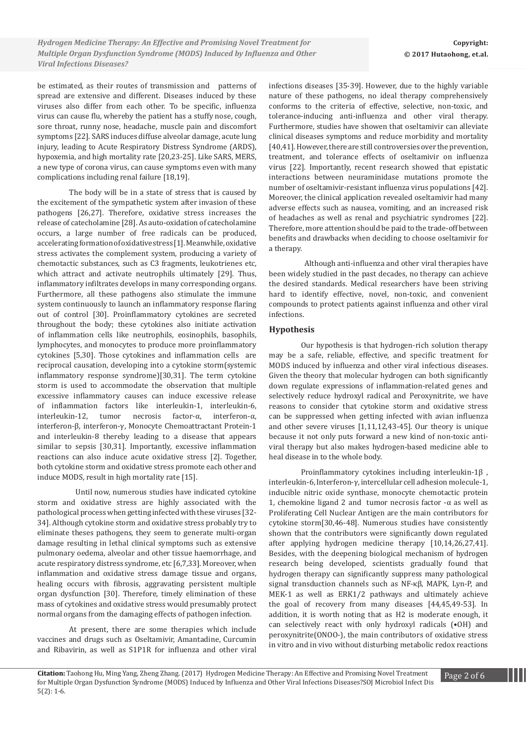be estimated, as their routes of transmission and patterns of spread are extensive and different. Diseases induced by these viruses also differ from each other. To be specific, influenza virus can cause flu, whereby the patient has a stuffy nose, cough, sore throat, runny nose, headache, muscle pain and discomfort symptoms [22]. SARS induces diffuse alveolar damage, acute lung injury, leading to Acute Respiratory Distress Syndrome (ARDS), hypoxemia, and high mortality rate [20,23-25]. Like SARS, MERS, a new type of corona virus, can cause symptoms even with many complications including renal failure [18,19].

The body will be in a state of stress that is caused by the excitement of the sympathetic system after invasion of these pathogens [26,27]. Therefore, oxidative stress increases the release of catecholamine [28]. As auto-oxidation of catecholamine occurs, a large number of free radicals can be produced, accelerating formation of oxidative stress [1]. Meanwhile, oxidative stress activates the complement system, producing a variety of chemotactic substances, such as C3 fragments, leukotrienes etc, which attract and activate neutrophils ultimately [29]. Thus, inflammatory infiltrates develops in many corresponding organs. Furthermore, all these pathogens also stimulate the immune system continuously to launch an inflammatory response flaring out of control [30]. Proinflammatory cytokines are secreted throughout the body; these cytokines also initiate activation of inflammation cells like neutrophils, eosinophils, basophils, lymphocytes, and monocytes to produce more proinflammatory cytokines [5,30]. Those cytokines and inflammation cells are reciprocal causation, developing into a cytokine storm(systemic inflammatory response syndrome)[30,31]. The term cytokine storm is used to accommodate the observation that multiple excessive inflammatory causes can induce excessive release of inflammation factors like interleukin-1, interleukin-6, interleukin-12, tumor necrosis factor-α, interferon-α, interferon-β, interferon-γ, Monocyte Chemoattractant Protein-1 and interleukin-8 thereby leading to a disease that appears similar to sepsis [30,31]. Importantly, excessive inflammation reactions can also induce acute oxidative stress [2]. Together, both cytokine storm and oxidative stress promote each other and induce MODS, result in high mortality rate [15].

 Until now, numerous studies have indicated cytokine storm and oxidative stress are highly associated with the pathological process when getting infected with these viruses [32- 34]. Although cytokine storm and oxidative stress probably try to eliminate theses pathogens, they seem to generate multi-organ damage resulting in lethal clinical symptoms such as extensive pulmonary oedema, alveolar and other tissue haemorrhage, and acute respiratory distress syndrome, etc [6,7,33]. Moreover, when inflammation and oxidative stress damage tissue and organs, healing occurs with fibrosis, aggravating persistent multiple organ dysfunction [30]. Therefore, timely elimination of these mass of cytokines and oxidative stress would presumably protect normal organs from the damaging effects of pathogen infection.

At present, there are some therapies which include vaccines and drugs such as Oseltamivir, Amantadine, Curcumin and Ribavirin, as well as S1P1R for influenza and other viral infections diseases [35-39]. However, due to the highly variable nature of these pathogens, no ideal therapy comprehensively conforms to the criteria of effective, selective, non-toxic, and tolerance-inducing anti-influenza and other viral therapy. Furthermore, studies have showen that oseltamivir can alleviate clinical diseases symptoms and reduce morbidity and mortality [40,41]. However, there are still controversies over the prevention, treatment, and tolerance effects of oseltamivir on influenza virus [22]. Importantly, recent research showed that epistatic interactions between neuraminidase mutations promote the number of oseltamivir-resistant influenza virus populations [42]. Moreover, the clinical application revealed oseltamivir had many adverse effects such as nausea, vomiting, and an increased risk of headaches as well as renal and psychiatric syndromes [22]. Therefore, more attention should be paid to the trade-off between benefits and drawbacks when deciding to choose oseltamivir for a therapy.

 Although anti-influenza and other viral therapies have been widely studied in the past decades, no therapy can achieve the desired standards. Medical researchers have been striving hard to identify effective, novel, non-toxic, and convenient compounds to protect patients against influenza and other viral infections.

## **Hypothesis**

Our hypothesis is that hydrogen-rich solution therapy may be a safe, reliable, effective, and specific treatment for MODS induced by influenza and other viral infectious diseases. Given the theory that molecular hydrogen can both significantly down regulate expressions of inflammation-related genes and selectively reduce hydroxyl radical and Peroxynitrite, we have reasons to consider that cytokine storm and oxidative stress can be suppressed when getting infected with avian influenza and other severe viruses [1,11,12,43-45]. Our theory is unique because it not only puts forward a new kind of non-toxic antiviral therapy but also makes hydrogen-based medicine able to heal disease in to the whole body.

Proinflammatory cytokines including interleukin-1β , interleukin-6, Interferon-γ, intercellular cell adhesion molecule-1, inducible nitric oxide synthase, monocyte chemotactic protein 1, chemokine ligand 2 and tumor necrosis factor  $-α$  as well as Proliferating Cell Nuclear Antigen are the main contributors for cytokine storm[30,46-48]. Numerous studies have consistently shown that the contributors were significantly down regulated after applying hydrogen medicine therapy [10,14,26,27,41]. Besides, with the deepening biological mechanism of hydrogen research being developed, scientists gradually found that hydrogen therapy can significantly suppress many pathological signal transduction channels such as NF-κβ, MAPK, Lyn-P, and MEK-1 as well as ERK1/2 pathways and ultimately achieve the goal of recovery from many diseases [44,45,49-53]. In addition, it is worth noting that as H2 is moderate enough, it can selectively react with only hydroxyl radicals (•OH) and peroxynitrite(ONOO-), the main contributors of oxidative stress in vitro and in vivo without disturbing metabolic redox reactions

**Citation:** Taonong Hu, Ming Yang, Zneng Znang. (2017) Hydrogen Medicine Therapy: An Effective and Promising Novel Treatment Page 2 of 6<br>Or Multiple Organ Dycfunction Syndrome (MODS) Induced by Influenza and Other Viral In for Multiple Organ Dysfunction Syndrome (MODS) Induced by Influenza and Other Viral Infections Diseases?SOJ Microbiol Infect Dis<br>5(2): 1.6 **Citation:** Taohong Hu, Ming Yang, Zheng Zhang. (2017) Hydrogen Medicine Therapy: An Effective and Promising Novel Treatment 5(2): 1-6.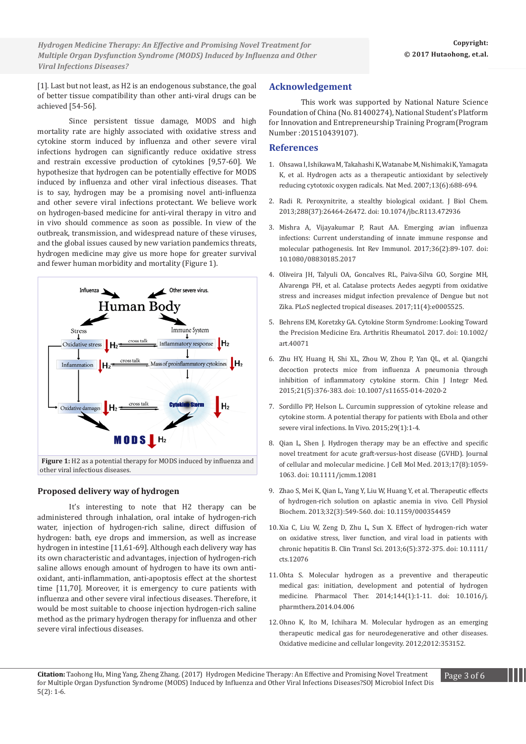*Novel VacA S1d Signal Sequence Found in Helicobacter Pylori from Mexican Children Hydrogen Medicine Therapy: An Effective and Promising Novel Treatment for with Recurrent Abdominal Pain Multiple Organ Dysfunction Syndrome (MODS) Induced by Influenza and Other Viral Infections Diseases?*

[1]. Last but not least, as H2 is an endogenous substance, the goal of better tissue compatibility than other anti-viral drugs can be achieved [54-56].

Since persistent tissue damage, MODS and high mortality rate are highly associated with oxidative stress and cytokine storm induced by influenza and other severe viral infections hydrogen can significantly reduce oxidative stress and restrain excessive production of cytokines [9,57-60]. We hypothesize that hydrogen can be potentially effective for MODS induced by influenza and other viral infectious diseases. That is to say, hydrogen may be a promising novel anti-influenza and other severe viral infections protectant. We believe work on hydrogen-based medicine for anti-viral therapy in vitro and in vivo should commence as soon as possible. In view of the outbreak, transmission, and widespread nature of these viruses, and the global issues caused by new variation pandemics threats, hydrogen medicine may give us more hope for greater survival and fewer human morbidity and mortality (Figure 1).



#### **Proposed delivery way of hydrogen**

It's interesting to note that H2 therapy can be administered through inhalation, oral intake of hydrogen-rich water, injection of hydrogen-rich saline, direct diffusion of hydrogen: bath, eye drops and immersion, as well as increase hydrogen in intestine [11,61-69]. Although each delivery way has its own characteristic and advantages, injection of hydrogen-rich saline allows enough amount of hydrogen to have its own antioxidant, anti-inflammation, anti-apoptosis effect at the shortest time [11,70]. Moreover, it is emergency to cure patients with influenza and other severe viral infectious diseases. Therefore, it would be most suitable to choose injection hydrogen-rich saline method as the primary hydrogen therapy for influenza and other severe viral infectious diseases.

#### **Acknowledgement**

This work was supported by National Nature Science Foundation of China (No. 81400274), National Student's Platform for Innovation and Entrepreneurship Training Program(Program Number :201510439107).

#### **References**

- 1. [Ohsawa I, Ishikawa M, Takahashi K, Watanabe M, Nishimaki K, Yamagata](https://www.ncbi.nlm.nih.gov/pubmed/17486089)  [K, et al. Hydrogen acts as a therapeutic antioxidant by selectively](https://www.ncbi.nlm.nih.gov/pubmed/17486089)  [reducing cytotoxic oxygen radicals. Nat Med. 2007;13\(6\):688-694.](https://www.ncbi.nlm.nih.gov/pubmed/17486089)
- 2. [Radi R. Peroxynitrite, a stealthy biological oxidant. J Biol Chem.](https://www.ncbi.nlm.nih.gov/pubmed/23861390)  [2013;288\(37\):26464-26472. doi: 10.1074/jbc.R113.472936](https://www.ncbi.nlm.nih.gov/pubmed/23861390)
- 3. [Mishra A, Vijayakumar P, Raut AA. Emerging avian influenza](https://www.ncbi.nlm.nih.gov/pubmed/28272907)  [infections: Current understanding of innate immune response and](https://www.ncbi.nlm.nih.gov/pubmed/28272907)  [molecular pathogenesis. Int Rev Immunol. 2017;36\(2\):89-107. doi:](https://www.ncbi.nlm.nih.gov/pubmed/28272907)  [10.1080/08830185.2017](https://www.ncbi.nlm.nih.gov/pubmed/28272907)
- 4. [Oliveira JH, Talyuli OA, Goncalves RL, Paiva-Silva GO, Sorgine MH,](http://journals.plos.org/plosntds/article/file%3Fid%3D10.1371/journal.pntd.0005525%26type%3Dprintable)  [Alvarenga PH, et al. Catalase protects Aedes aegypti from oxidative](http://journals.plos.org/plosntds/article/file%3Fid%3D10.1371/journal.pntd.0005525%26type%3Dprintable)  [stress and increases midgut infection prevalence of Dengue but not](http://journals.plos.org/plosntds/article/file%3Fid%3D10.1371/journal.pntd.0005525%26type%3Dprintable)  [Zika. PLoS neglected tropical diseases. 2017;11\(4\):e0005525.](http://journals.plos.org/plosntds/article/file%3Fid%3D10.1371/journal.pntd.0005525%26type%3Dprintable)
- 5. [Behrens EM, Koretzky GA. Cytokine Storm Syndrome: Looking Toward](https://www.ncbi.nlm.nih.gov/pubmed/28217930)  [the Precision Medicine Era. Arthritis Rheumatol. 2017. doi: 10.1002/](https://www.ncbi.nlm.nih.gov/pubmed/28217930) [art.40071](https://www.ncbi.nlm.nih.gov/pubmed/28217930)
- 6. [Zhu HY, Huang H, Shi XL, Zhou W, Zhou P, Yan QL, et al. Qiangzhi](https://www.ncbi.nlm.nih.gov/pubmed/25519444)  [decoction protects mice from influenza A pneumonia through](https://www.ncbi.nlm.nih.gov/pubmed/25519444)  [inhibition of inflammatory cytokine storm. Chin J Integr Med.](https://www.ncbi.nlm.nih.gov/pubmed/25519444)  [2015;21\(5\):376-383. doi: 10.1007/s11655-014-2020-2](https://www.ncbi.nlm.nih.gov/pubmed/25519444)
- 7. [Sordillo PP, Helson L. Curcumin suppression of cytokine release and](https://www.ncbi.nlm.nih.gov/pubmed/25600522)  [cytokine storm. A potential therapy for patients with Ebola and other](https://www.ncbi.nlm.nih.gov/pubmed/25600522)  [severe viral infections. In Vivo. 2015;29\(1\):1-4.](https://www.ncbi.nlm.nih.gov/pubmed/25600522)
- 8. [Qian L, Shen J. Hydrogen therapy may be an effective and specific](https://www.ncbi.nlm.nih.gov/pubmed/23742028)  [novel treatment for acute graft-versus-host disease \(GVHD\). Journal](https://www.ncbi.nlm.nih.gov/pubmed/23742028)  [of cellular and molecular medicine. J Cell Mol Med. 2013;17\(8\):1059-](https://www.ncbi.nlm.nih.gov/pubmed/23742028) [1063. doi: 10.1111/jcmm.12081](https://www.ncbi.nlm.nih.gov/pubmed/23742028)
- 9. [Zhao S, Mei K, Qian L, Yang Y, Liu W, Huang Y, et al. Therapeutic effects](https://www.ncbi.nlm.nih.gov/pubmed/24008771)  [of hydrogen-rich solution on aplastic anemia in vivo. Cell Physiol](https://www.ncbi.nlm.nih.gov/pubmed/24008771)  [Biochem. 2013;32\(3\):549-560. doi: 10.1159/000354459](https://www.ncbi.nlm.nih.gov/pubmed/24008771)
- 10.[Xia C, Liu W, Zeng D, Zhu L, Sun X. Effect of hydrogen-rich water](https://www.ncbi.nlm.nih.gov/pubmed/24127924)  [on oxidative stress, liver function, and viral load in patients with](https://www.ncbi.nlm.nih.gov/pubmed/24127924)  [chronic hepatitis B. Clin Transl Sci. 2013;6\(5\):372-375. doi: 10.1111/](https://www.ncbi.nlm.nih.gov/pubmed/24127924) [cts.12076](https://www.ncbi.nlm.nih.gov/pubmed/24127924)
- 11.[Ohta S. Molecular hydrogen as a preventive and therapeutic](https://www.ncbi.nlm.nih.gov/pubmed/24769081)  [medical gas: initiation, development and potential of hydrogen](https://www.ncbi.nlm.nih.gov/pubmed/24769081)  [medicine. Pharmacol Ther. 2014;144\(1\):1-11. doi: 10.1016/j.](https://www.ncbi.nlm.nih.gov/pubmed/24769081) [pharmthera.2014.04.006](https://www.ncbi.nlm.nih.gov/pubmed/24769081)
- 12.[Ohno K, Ito M, Ichihara M. Molecular hydrogen as an emerging](https://www.hindawi.com/journals/omcl/2012/353152/)  [therapeutic medical gas for neurodegenerative and other diseases.](https://www.hindawi.com/journals/omcl/2012/353152/)  [Oxidative medicine and cellular longevity. 2012;2012:353152.](https://www.hindawi.com/journals/omcl/2012/353152/)

Citation: Taohong Hu, Ming Yang, Zheng Zhang. (2017) Hydrogen Medicine Therapy: An Effective and Promising Novel Treatment<br>for Multiple Organ Durfungtion Curcharma (MODC) Indused by Influence and Other Viral Infections Dis for Multiple Organ Dysfunction Syndrome (MODS) Induced by Influenza and Other Viral Infections Diseases?SOJ Microbiol Infect Dis<br>ECO) 4-6 5(2): 1-6.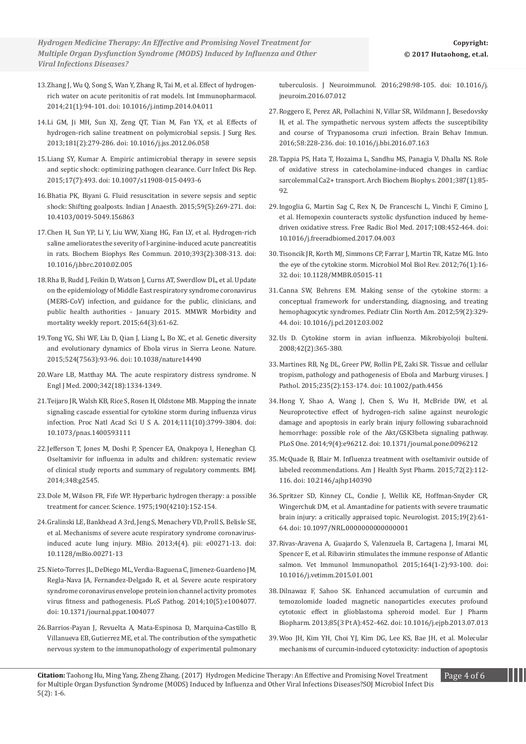- 13.[Zhang J, Wu Q, Song S, Wan Y, Zhang R, Tai M, et al. Effect of hydrogen](https://www.ncbi.nlm.nih.gov/pubmed/24793096)[rich water on acute peritonitis of rat models. Int Immunopharmacol.](https://www.ncbi.nlm.nih.gov/pubmed/24793096)  [2014;21\(1\):94-101. doi: 10.1016/j.intimp.2014.04.011](https://www.ncbi.nlm.nih.gov/pubmed/24793096)
- 14.[Li GM, Ji MH, Sun XJ, Zeng QT, Tian M, Fan YX, et al. Effects of](https://www.ncbi.nlm.nih.gov/pubmed/22795273)  [hydrogen-rich saline treatment on polymicrobial sepsis. J Surg Res.](https://www.ncbi.nlm.nih.gov/pubmed/22795273)  [2013;181\(2\):279-286. doi: 10.1016/j.jss.2012.06.058](https://www.ncbi.nlm.nih.gov/pubmed/22795273)
- 15.[Liang SY, Kumar A. Empiric antimicrobial therapy in severe sepsis](https://www.ncbi.nlm.nih.gov/pubmed/26031965)  [and septic shock: optimizing pathogen clearance. Curr Infect Dis Rep.](https://www.ncbi.nlm.nih.gov/pubmed/26031965)  [2015;17\(7\):493. doi: 10.1007/s11908-015-0493-6](https://www.ncbi.nlm.nih.gov/pubmed/26031965)
- 16[.Bhatia PK, Biyani G. Fluid resuscitation in severe sepsis and septic](https://www.ncbi.nlm.nih.gov/pubmed/26019350)  [shock: Shifting goalposts. Indian J Anaesth. 2015;59\(5\):269-271. doi:](https://www.ncbi.nlm.nih.gov/pubmed/26019350)  [10.4103/0019-5049.156863](https://www.ncbi.nlm.nih.gov/pubmed/26019350)
- 17.[Chen H, Sun YP, Li Y, Liu WW, Xiang HG, Fan LY, et al. Hydrogen-rich](https://www.ncbi.nlm.nih.gov/pubmed/20138831)  [saline ameliorates the severity of l-arginine-induced acute pancreatitis](https://www.ncbi.nlm.nih.gov/pubmed/20138831)  [in rats. Biochem Biophys Res Commun. 2010;393\(2\):308-313. doi:](https://www.ncbi.nlm.nih.gov/pubmed/20138831)  [10.1016/j.bbrc.2010.02.005](https://www.ncbi.nlm.nih.gov/pubmed/20138831)
- 18.[Rha B, Rudd J, Feikin D, Watson J, Curns AT, Swerdlow DL, et al. Update](https://www.ncbi.nlm.nih.gov/pubmed/25632953)  [on the epidemiology of Middle East respiratory syndrome coronavirus](https://www.ncbi.nlm.nih.gov/pubmed/25632953)  [\(MERS-CoV\) infection, and guidance for the public, clinicians, and](https://www.ncbi.nlm.nih.gov/pubmed/25632953)  [public health authorities - January 2015. MMWR Morbidity and](https://www.ncbi.nlm.nih.gov/pubmed/25632953)  [mortality weekly report. 2015;64\(3\):61-62.](https://www.ncbi.nlm.nih.gov/pubmed/25632953)
- 19.[Tong YG, Shi WF, Liu D, Qian J, Liang L, Bo XC, et al. Genetic diversity](https://www.ncbi.nlm.nih.gov/pubmed/25970247)  [and evolutionary dynamics of Ebola virus in Sierra Leone. Nature.](https://www.ncbi.nlm.nih.gov/pubmed/25970247)  [2015;524\(7563\):93-96. doi: 10.1038/nature14490](https://www.ncbi.nlm.nih.gov/pubmed/25970247)
- 20.[Ware LB, Matthay MA. The acute respiratory distress syndrome. N](https://www.ncbi.nlm.nih.gov/pubmed/10793167)  [Engl J Med. 2000;342\(18\):1334-1349.](https://www.ncbi.nlm.nih.gov/pubmed/10793167)
- 21.[Teijaro JR, Walsh KB, Rice S, Rosen H, Oldstone MB. Mapping the innate](https://www.ncbi.nlm.nih.gov/pubmed/24572573)  [signaling cascade essential for cytokine storm during influenza virus](https://www.ncbi.nlm.nih.gov/pubmed/24572573)  [infection. Proc Natl Acad Sci U S A. 2014;111\(10\):3799-3804. doi:](https://www.ncbi.nlm.nih.gov/pubmed/24572573)  [10.1073/pnas.1400593111](https://www.ncbi.nlm.nih.gov/pubmed/24572573)
- 22.[Jefferson T, Jones M, Doshi P, Spencer EA, Onakpoya I, Heneghan CJ.](http://papers.mrotte.com/tamiflu.pdf)  [Oseltamivir for influenza in adults and children: systematic review](http://papers.mrotte.com/tamiflu.pdf)  [of clinical study reports and summary of regulatory comments. BMJ.](http://papers.mrotte.com/tamiflu.pdf)  [2014;348:g2545.](http://papers.mrotte.com/tamiflu.pdf)
- 23.[Dole M, Wilson FR, Fife WP. Hyperbaric hydrogen therapy: a possible](https://www.ncbi.nlm.nih.gov/pubmed/1166304)  [treatment for cancer. Science. 1975;190\(4210\):152-154.](https://www.ncbi.nlm.nih.gov/pubmed/1166304)
- 24.[Gralinski LE, Bankhead A 3rd, Jeng S, Menachery VD, Proll S, Belisle SE,](https://www.ncbi.nlm.nih.gov/pubmed/23919993)  [et al. Mechanisms of severe acute respiratory syndrome coronavirus](https://www.ncbi.nlm.nih.gov/pubmed/23919993)[induced acute lung injury. MBio. 2013;4\(4\). pii: e00271-13. doi:](https://www.ncbi.nlm.nih.gov/pubmed/23919993)  [10.1128/mBio.00271-13](https://www.ncbi.nlm.nih.gov/pubmed/23919993)
- 25.[Nieto-Torres JL, DeDiego ML, Verdia-Baguena C, Jimenez-Guardeno JM,](https://www.ncbi.nlm.nih.gov/pubmed/24788150)  [Regla-Nava JA, Fernandez-Delgado R, et al. Severe acute respiratory](https://www.ncbi.nlm.nih.gov/pubmed/24788150)  [syndrome coronavirus envelope protein ion channel activity promotes](https://www.ncbi.nlm.nih.gov/pubmed/24788150)  [virus fitness and pathogenesis. PLoS Pathog. 2014;10\(5\):e1004077.](https://www.ncbi.nlm.nih.gov/pubmed/24788150)  [doi: 10.1371/journal.ppat.1004077](https://www.ncbi.nlm.nih.gov/pubmed/24788150)
- 26.[Barrios-Payan J, Revuelta A, Mata-Espinosa D, Marquina-Castillo B,](https://www.ncbi.nlm.nih.gov/pubmed/27609282)  [Villanueva EB, Gutierrez ME, et al. The contribution of the sympathetic](https://www.ncbi.nlm.nih.gov/pubmed/27609282)  [nervous system to the immunopathology of experimental pulmonary](https://www.ncbi.nlm.nih.gov/pubmed/27609282)

[tuberculosis. J Neuroimmunol. 2016;298:98-105. doi: 10.1016/j.](https://www.ncbi.nlm.nih.gov/pubmed/27609282) [jneuroim.2016.07.012](https://www.ncbi.nlm.nih.gov/pubmed/27609282)

- 27.[Roggero E, Perez AR, Pollachini N, Villar SR, Wildmann J, Besedovsky](https://www.ncbi.nlm.nih.gov/pubmed/27485039)  [H, et al. The sympathetic nervous system affects the susceptibility](https://www.ncbi.nlm.nih.gov/pubmed/27485039)  [and course of Trypanosoma cruzi infection. Brain Behav Immun.](https://www.ncbi.nlm.nih.gov/pubmed/27485039)  [2016;58:228-236. doi: 10.1016/j.bbi.2016.07.163](https://www.ncbi.nlm.nih.gov/pubmed/27485039)
- 28.[Tappia PS, Hata T, Hozaima L, Sandhu MS, Panagia V, Dhalla NS. Role](https://www.ncbi.nlm.nih.gov/pubmed/11368187)  [of oxidative stress in catecholamine-induced changes in cardiac](https://www.ncbi.nlm.nih.gov/pubmed/11368187)  [sarcolemmal Ca2+ transport. Arch Biochem Biophys. 2001;387\(1\):85-](https://www.ncbi.nlm.nih.gov/pubmed/11368187) 92.
- 29.[Ingoglia G, Martin Sag C, Rex N, De Franceschi L, Vinchi F, Cimino J,](https://www.ncbi.nlm.nih.gov/pubmed/28400318)  [et al. Hemopexin counteracts systolic dysfunction induced by heme](https://www.ncbi.nlm.nih.gov/pubmed/28400318)[driven oxidative stress. Free Radic Biol Med. 2017;108:452-464. doi:](https://www.ncbi.nlm.nih.gov/pubmed/28400318)  [10.1016/j.freeradbiomed.2017.04.003](https://www.ncbi.nlm.nih.gov/pubmed/28400318)
- 30.[Tisoncik JR, Korth MJ, Simmons CP, Farrar J, Martin TR, Katze MG. Into](https://www.ncbi.nlm.nih.gov/pubmed/22390970)  [the eye of the cytokine storm. Microbiol Mol Biol Rev. 2012;76\(1\):16-](https://www.ncbi.nlm.nih.gov/pubmed/22390970) [32. doi: 10.1128/MMBR.05015-11](https://www.ncbi.nlm.nih.gov/pubmed/22390970)
- 31.[Canna SW, Behrens EM. Making sense of the cytokine storm: a](https://www.ncbi.nlm.nih.gov/pubmed/22560573)  [conceptual framework for understanding, diagnosing, and treating](https://www.ncbi.nlm.nih.gov/pubmed/22560573)  [hemophagocytic syndromes. Pediatr Clin North Am. 2012;59\(2\):329-](https://www.ncbi.nlm.nih.gov/pubmed/22560573) [44. doi: 10.1016/j.pcl.2012.03.002](https://www.ncbi.nlm.nih.gov/pubmed/22560573)
- 32.[Us D. Cytokine storm in avian influenza. Mikrobiyoloji bulteni.](https://www.unboundmedicine.com/medline/citation/18697437/%255bCytokine_storm_in_avian_influenza%255d_)  [2008;42\(2\):365-380.](https://www.unboundmedicine.com/medline/citation/18697437/%255bCytokine_storm_in_avian_influenza%255d_)
- 33.[Martines RB, Ng DL, Greer PW, Rollin PE, Zaki SR. Tissue and cellular](https://www.ncbi.nlm.nih.gov/pubmed/25297522)  [tropism, pathology and pathogenesis of Ebola and Marburg viruses. J](https://www.ncbi.nlm.nih.gov/pubmed/25297522)  [Pathol. 2015;235\(2\):153-174. doi: 10.1002/path.4456](https://www.ncbi.nlm.nih.gov/pubmed/25297522)
- 34.[Hong Y, Shao A, Wang J, Chen S, Wu H, McBride DW, et al.](https://www.ncbi.nlm.nih.gov/pubmed/24763696)  [Neuroprotective effect of hydrogen-rich saline against neurologic](https://www.ncbi.nlm.nih.gov/pubmed/24763696)  [damage and apoptosis in early brain injury following subarachnoid](https://www.ncbi.nlm.nih.gov/pubmed/24763696)  [hemorrhage: possible role of the Akt/GSK3beta signaling pathway.](https://www.ncbi.nlm.nih.gov/pubmed/24763696)  [PLoS One. 2014;9\(4\):e96212. doi: 10.1371/journal.pone.0096212](https://www.ncbi.nlm.nih.gov/pubmed/24763696)
- 35.[McQuade B, Blair M. Influenza treatment with oseltamivir outside of](https://www.ncbi.nlm.nih.gov/pubmed/25550133)  [labeled recommendations. Am J Health Syst Pharm. 2015;72\(2\):112-](https://www.ncbi.nlm.nih.gov/pubmed/25550133) [116. doi: 10.2146/ajhp140390](https://www.ncbi.nlm.nih.gov/pubmed/25550133)
- 36.[Spritzer SD, Kinney CL, Condie J, Wellik KE, Hoffman-Snyder CR,](https://www.ncbi.nlm.nih.gov/pubmed/25607336)  [Wingerchuk DM, et al. Amantadine for patients with severe traumatic](https://www.ncbi.nlm.nih.gov/pubmed/25607336)  [brain injury: a critically appraised topic. Neurologist. 2015;19\(2\):61-](https://www.ncbi.nlm.nih.gov/pubmed/25607336) [64. doi: 10.1097/NRL.0000000000000001](https://www.ncbi.nlm.nih.gov/pubmed/25607336)
- 37.[Rivas-Aravena A, Guajardo S, Valenzuela B, Cartagena J, Imarai MI,](https://www.ncbi.nlm.nih.gov/pubmed/25631788)  [Spencer E, et al. Ribavirin stimulates the immune response of Atlantic](https://www.ncbi.nlm.nih.gov/pubmed/25631788)  [salmon. Vet Immunol Immunopathol. 2015;164\(1-2\):93-100. doi:](https://www.ncbi.nlm.nih.gov/pubmed/25631788)  [10.1016/j.vetimm.2015.01.001](https://www.ncbi.nlm.nih.gov/pubmed/25631788)
- 38.[Dilnawaz F, Sahoo SK. Enhanced accumulation of curcumin and](https://www.ncbi.nlm.nih.gov/pubmed/23891772)  [temozolomide loaded magnetic nanoparticles executes profound](https://www.ncbi.nlm.nih.gov/pubmed/23891772)  [cytotoxic effect in glioblastoma spheroid model. Eur J Pharm](https://www.ncbi.nlm.nih.gov/pubmed/23891772)  [Biopharm. 2013;85\(3 Pt A\):452-462. doi: 10.1016/j.ejpb.2013.07.013](https://www.ncbi.nlm.nih.gov/pubmed/23891772)
- 39.[Woo JH, Kim YH, Choi YJ, Kim DG, Lee KS, Bae JH, et al. Molecular](https://www.ncbi.nlm.nih.gov/pubmed/12807727)  [mechanisms of curcumin-induced cytotoxicity: induction of apoptosis](https://www.ncbi.nlm.nih.gov/pubmed/12807727)

Citation: Taohong Hu, Ming Yang, Zheng Zhang. (2017) Hydrogen Medicine Therapy: An Effective and Promising Novel Treatment Page 4 of 6 for Multiple Organ Dysfunction Syndrome (MODS) Induced by Influenza and Other Viral Infections Diseases/SOJ Microbiol Infect Dis<br>TSD 1446 5(2): 1-6.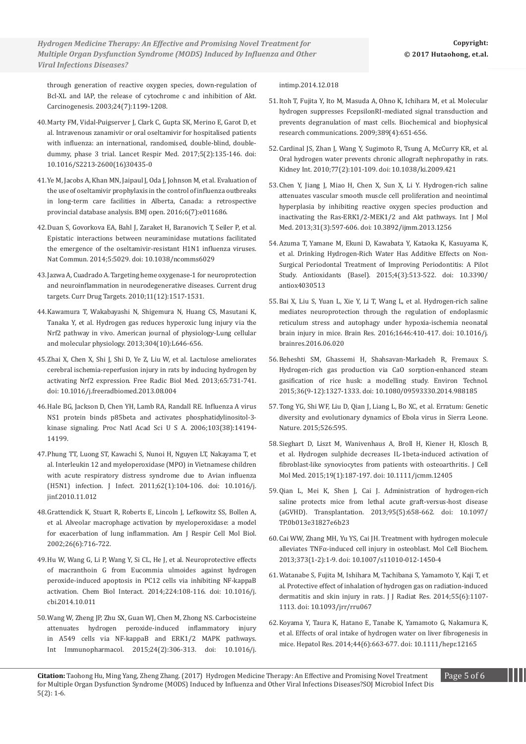*Novel VacA S1d Signal Sequence Found in Helicobacter Pylori from Mexican Children Hydrogen Medicine Therapy: An Effective and Promising Novel Treatment for with Recurrent Abdominal Pain Multiple Organ Dysfunction Syndrome (MODS) Induced by Influenza and Other Viral Infections Diseases?*

[through generation of reactive oxygen species, down-regulation of](https://www.ncbi.nlm.nih.gov/pubmed/12807727)  [Bcl-XL and IAP, the release of cytochrome c and inhibition of Akt.](https://www.ncbi.nlm.nih.gov/pubmed/12807727)  [Carcinogenesis. 2003;24\(7\):1199-1208.](https://www.ncbi.nlm.nih.gov/pubmed/12807727)

- 40.[Marty FM, Vidal-Puigserver J, Clark C, Gupta SK, Merino E, Garot D, et](https://www.ncbi.nlm.nih.gov/pubmed/28094141)  [al. Intravenous zanamivir or oral oseltamivir for hospitalised patients](https://www.ncbi.nlm.nih.gov/pubmed/28094141)  [with influenza: an international, randomised, double-blind, double](https://www.ncbi.nlm.nih.gov/pubmed/28094141)[dummy, phase 3 trial. Lancet Respir Med. 2017;5\(2\):135-146. doi:](https://www.ncbi.nlm.nih.gov/pubmed/28094141)  [10.1016/S2213-2600\(16\)30435-0](https://www.ncbi.nlm.nih.gov/pubmed/28094141)
- 41.[Ye M, Jacobs A, Khan MN, Jaipaul J, Oda J, Johnson M, et al. Evaluation of](http://bmjopen.bmj.com/content/6/7/e011686)  [the use of oseltamivir prophylaxis in the control of influenza outbreaks](http://bmjopen.bmj.com/content/6/7/e011686)  [in long-term care facilities in Alberta, Canada: a retrospective](http://bmjopen.bmj.com/content/6/7/e011686)  [provincial database analysis. BMJ open. 2016;6\(7\):e011686](http://bmjopen.bmj.com/content/6/7/e011686).
- 42.[Duan S, Govorkova EA, Bahl J, Zaraket H, Baranovich T, Seiler P, et al.](https://www.ncbi.nlm.nih.gov/pubmed/25297528)  [Epistatic interactions between neuraminidase mutations facilitated](https://www.ncbi.nlm.nih.gov/pubmed/25297528)  [the emergence of the oseltamivir-resistant H1N1 influenza viruses.](https://www.ncbi.nlm.nih.gov/pubmed/25297528)  [Nat Commun. 2014;5:5029. doi: 10.1038/ncomms6029](https://www.ncbi.nlm.nih.gov/pubmed/25297528)
- 43.[Jazwa A, Cuadrado A. Targeting heme oxygenase-1 for neuroprotection](https://www.ncbi.nlm.nih.gov/pubmed/20704549)  [and neuroinflammation in neurodegenerative diseases. Current drug](https://www.ncbi.nlm.nih.gov/pubmed/20704549)  [targets. Curr Drug Targets. 2010;11\(12\):1517-1531.](https://www.ncbi.nlm.nih.gov/pubmed/20704549)
- 44.[Kawamura T, Wakabayashi N, Shigemura N, Huang CS, Masutani K,](http://ajplung.physiology.org/content/304/10/L646)  [Tanaka Y, et al. Hydrogen gas reduces hyperoxic lung injury via the](http://ajplung.physiology.org/content/304/10/L646)  [Nrf2 pathway in vivo. American journal of physiology-Lung cellular](http://ajplung.physiology.org/content/304/10/L646)  [and molecular physiology. 2013;304\(10\):L646-656.](http://ajplung.physiology.org/content/304/10/L646)
- 45.[Zhai X, Chen X, Shi J, Shi D, Ye Z, Liu W, et al. Lactulose ameliorates](https://www.ncbi.nlm.nih.gov/pubmed/23954468)  [cerebral ischemia-reperfusion injury in rats by inducing hydrogen by](https://www.ncbi.nlm.nih.gov/pubmed/23954468)  [activating Nrf2 expression. Free Radic Biol Med. 2013;65:731-741.](https://www.ncbi.nlm.nih.gov/pubmed/23954468)  [doi: 10.1016/j.freeradbiomed.2013.08.004](https://www.ncbi.nlm.nih.gov/pubmed/23954468)
- 46.[Hale BG, Jackson D, Chen YH, Lamb RA, Randall RE. Influenza A virus](D:\Journal%20data\SOJ%20Microbiology\Articles\2017\March%202017\SOJMID-17-SC-196\Proof%20work\Proc%20Natl%20Acad%20Sci%20U%20S%20A.%202006%20Sep%2019%3B103%2838%29:14194-9)  [NS1 protein binds p85beta and activates phosphatidylinositol-3](D:\Journal%20data\SOJ%20Microbiology\Articles\2017\March%202017\SOJMID-17-SC-196\Proof%20work\Proc%20Natl%20Acad%20Sci%20U%20S%20A.%202006%20Sep%2019%3B103%2838%29:14194-9) [kinase signaling. Proc Natl Acad Sci U S A. 2006;103\(38\):14194-](D:\Journal%20data\SOJ%20Microbiology\Articles\2017\March%202017\SOJMID-17-SC-196\Proof%20work\Proc%20Natl%20Acad%20Sci%20U%20S%20A.%202006%20Sep%2019%3B103%2838%29:14194-9) [14199.](D:\Journal%20data\SOJ%20Microbiology\Articles\2017\March%202017\SOJMID-17-SC-196\Proof%20work\Proc%20Natl%20Acad%20Sci%20U%20S%20A.%202006%20Sep%2019%3B103%2838%29:14194-9)
- 47.[Phung TT, Luong ST, Kawachi S, Nunoi H, Nguyen LT, Nakayama T, et](https://www.ncbi.nlm.nih.gov/pubmed/21115040)  [al. Interleukin 12 and myeloperoxidase \(MPO\) in Vietnamese children](https://www.ncbi.nlm.nih.gov/pubmed/21115040)  [with acute respiratory distress syndrome due to Avian influenza](https://www.ncbi.nlm.nih.gov/pubmed/21115040)  [\(H5N1\) infection. J Infect. 2011;62\(1\):104-106. doi: 10.1016/j.](https://www.ncbi.nlm.nih.gov/pubmed/21115040) [jinf.2010.11.012](https://www.ncbi.nlm.nih.gov/pubmed/21115040)
- 48.[Grattendick K, Stuart R, Roberts E, Lincoln J, Lefkowitz SS, Bollen A,](https://www.ncbi.nlm.nih.gov/pubmed/12034571)  [et al. Alveolar macrophage activation by myeloperoxidase: a model](https://www.ncbi.nlm.nih.gov/pubmed/12034571)  [for exacerbation of lung inflammation. Am J Respir Cell Mol Biol.](https://www.ncbi.nlm.nih.gov/pubmed/12034571)  [2002;26\(6\):716-722.](https://www.ncbi.nlm.nih.gov/pubmed/12034571)
- 4[9.Hu W, Wang G, Li P, Wang Y, Si CL, He J, et al. Neuroprotective effects](https://www.ncbi.nlm.nih.gov/pubmed/25451577)  [of macranthoin G from Eucommia ulmoides against hydrogen](https://www.ncbi.nlm.nih.gov/pubmed/25451577)  [peroxide-induced apoptosis in PC12 cells via inhibiting NF-kappaB](https://www.ncbi.nlm.nih.gov/pubmed/25451577)  [activation. Chem Biol Interact. 2014;224:108-116. doi: 10.1016/j.](https://www.ncbi.nlm.nih.gov/pubmed/25451577) [cbi.2014.10.011](https://www.ncbi.nlm.nih.gov/pubmed/25451577)
- 50.[Wang W, Zheng JP, Zhu SX, Guan WJ, Chen M, Zhong NS. Carbocisteine](https://www.ncbi.nlm.nih.gov/pubmed/25533503)  [attenuates hydrogen peroxide-induced inflammatory injury](https://www.ncbi.nlm.nih.gov/pubmed/25533503)  [in A549 cells via NF-kappaB and ERK1/2 MAPK pathways.](https://www.ncbi.nlm.nih.gov/pubmed/25533503)  [Int Immunopharmacol. 2015;24\(2\):306-313. doi: 10.1016/j.](https://www.ncbi.nlm.nih.gov/pubmed/25533503)

[intimp.2014.12.018](https://www.ncbi.nlm.nih.gov/pubmed/25533503)

- 51.[Itoh T, Fujita Y, Ito M, Masuda A, Ohno K, Ichihara M, et al. Molecular](https://www.unboundmedicine.com/medline/citation/19766097/abstract/Molecular_hydrogen_suppresses_FcepsilonRI_mediated_signal_transduction_and_prevents_degranulation_of_mast_cells_)  [hydrogen suppresses FcepsilonRI-mediated signal transduction and](https://www.unboundmedicine.com/medline/citation/19766097/abstract/Molecular_hydrogen_suppresses_FcepsilonRI_mediated_signal_transduction_and_prevents_degranulation_of_mast_cells_)  [prevents degranulation of mast cells. Biochemical and biophysical](https://www.unboundmedicine.com/medline/citation/19766097/abstract/Molecular_hydrogen_suppresses_FcepsilonRI_mediated_signal_transduction_and_prevents_degranulation_of_mast_cells_)  [research communications. 2009;389\(4\):651-656.](https://www.unboundmedicine.com/medline/citation/19766097/abstract/Molecular_hydrogen_suppresses_FcepsilonRI_mediated_signal_transduction_and_prevents_degranulation_of_mast_cells_)
- 52.[Cardinal JS, Zhan J, Wang Y, Sugimoto R, Tsung A, McCurry KR, et al.](https://www.ncbi.nlm.nih.gov/pubmed/19907413)  [Oral hydrogen water prevents chronic allograft nephropathy in rats.](https://www.ncbi.nlm.nih.gov/pubmed/19907413)  [Kidney Int. 2010;77\(2\):101-109. doi: 10.1038/ki.2009.421](https://www.ncbi.nlm.nih.gov/pubmed/19907413)
- 53.[Chen Y, Jiang J, Miao H, Chen X, Sun X, Li Y. Hydrogen-rich saline](https://www.ncbi.nlm.nih.gov/pubmed/23340693)  [attenuates vascular smooth muscle cell proliferation and neointimal](https://www.ncbi.nlm.nih.gov/pubmed/23340693)  [hyperplasia by inhibiting reactive oxygen species production and](https://www.ncbi.nlm.nih.gov/pubmed/23340693)  [inactivating the Ras-ERK1/2-MEK1/2 and Akt pathways. Int J Mol](https://www.ncbi.nlm.nih.gov/pubmed/23340693)  [Med. 2013;31\(3\):597-606. doi: 10.3892/ijmm.2013.1256](https://www.ncbi.nlm.nih.gov/pubmed/23340693)
- 54.[Azuma T, Yamane M, Ekuni D, Kawabata Y, Kataoka K, Kasuyama K,](https://www.ncbi.nlm.nih.gov/pubmed/26783840)  [et al. Drinking Hydrogen-Rich Water Has Additive Effects on Non-](https://www.ncbi.nlm.nih.gov/pubmed/26783840)[Surgical Periodontal Treatment of Improving Periodontitis: A Pilot](https://www.ncbi.nlm.nih.gov/pubmed/26783840)  [Study. Antioxidants \(Basel\). 2015;4\(3\):513-522. doi: 10.3390/](https://www.ncbi.nlm.nih.gov/pubmed/26783840) [antiox4030513](https://www.ncbi.nlm.nih.gov/pubmed/26783840)
- 55.[Bai X, Liu S, Yuan L, Xie Y, Li T, Wang L, et al. Hydrogen-rich saline](https://www.ncbi.nlm.nih.gov/pubmed/27317636)  [mediates neuroprotection through the regulation of endoplasmic](https://www.ncbi.nlm.nih.gov/pubmed/27317636)  [reticulum stress and autophagy under hypoxia-ischemia neonatal](https://www.ncbi.nlm.nih.gov/pubmed/27317636)  [brain injury in mice. Brain Res. 2016;1646:410-417. doi: 10.1016/j.](https://www.ncbi.nlm.nih.gov/pubmed/27317636) [brainres.2016.06.020](https://www.ncbi.nlm.nih.gov/pubmed/27317636)
- 56.[Beheshti SM, Ghassemi H, Shahsavan-Markadeh R, Fremaux S.](https://www.ncbi.nlm.nih.gov/pubmed/25403373)  [Hydrogen-rich gas production via CaO sorption-enhanced steam](https://www.ncbi.nlm.nih.gov/pubmed/25403373)  [gasification of rice husk: a modelling study. Environ Technol.](https://www.ncbi.nlm.nih.gov/pubmed/25403373)  [2015;36\(9-12\):1327-1333. doi: 10.1080/09593330.2014.988185](https://www.ncbi.nlm.nih.gov/pubmed/25403373)
- 57.[Tong YG, Shi WF, Liu D, Qian J, Liang L, Bo XC, et al. Erratum: Genetic](https://www.nature.com/nature/journal/v526/n7574/full/nature15255.html)  [diversity and evolutionary dynamics of Ebola virus in Sierra Leone.](https://www.nature.com/nature/journal/v526/n7574/full/nature15255.html)  [Nature. 2015;526:595.](https://www.nature.com/nature/journal/v526/n7574/full/nature15255.html)
- 58.[Sieghart D, Liszt M, Wanivenhaus A, Broll H, Kiener H, Klosch B,](https://www.ncbi.nlm.nih.gov/pubmed/%3Fterm%3DSieghart%2520D%255BAuthor%255D%26cauthor%3Dtrue%26cauthor_uid%3D25312962)  [et al. Hydrogen sulphide decreases IL-1beta-induced activation of](https://www.ncbi.nlm.nih.gov/pubmed/%3Fterm%3DSieghart%2520D%255BAuthor%255D%26cauthor%3Dtrue%26cauthor_uid%3D25312962)  [fibroblast-like synoviocytes from patients with osteoarthritis. J Cell](https://www.ncbi.nlm.nih.gov/pubmed/%3Fterm%3DSieghart%2520D%255BAuthor%255D%26cauthor%3Dtrue%26cauthor_uid%3D25312962)  [Mol Med. 2015;19\(1\):187-197. doi: 10.1111/jcmm.12405](https://www.ncbi.nlm.nih.gov/pubmed/%3Fterm%3DSieghart%2520D%255BAuthor%255D%26cauthor%3Dtrue%26cauthor_uid%3D25312962)
- 59.[Qian L, Mei K, Shen J, Cai J. Administration of hydrogen-rich](https://www.ncbi.nlm.nih.gov/pubmed/23503500)  [saline protects mice from lethal acute graft-versus-host disease](https://www.ncbi.nlm.nih.gov/pubmed/23503500)  [\(aGVHD\). Transplantation. 2013;95\(5\):658-662. doi: 10.1097/](https://www.ncbi.nlm.nih.gov/pubmed/23503500) [TP.0b013e31827e6b23](https://www.ncbi.nlm.nih.gov/pubmed/23503500)
- 60[.Cai WW, Zhang MH, Yu YS, Cai JH. Treatment with hydrogen molecule](https://www.ncbi.nlm.nih.gov/pubmed/23212446)  [alleviates TNFα-induced cell injury in osteoblast. Mol Cell Biochem.](https://www.ncbi.nlm.nih.gov/pubmed/23212446)  [2013;373\(1-2\):1-9. doi: 10.1007/s11010-012-1450-4](https://www.ncbi.nlm.nih.gov/pubmed/23212446)
- 61.[Watanabe S, Fujita M, Ishihara M, Tachibana S, Yamamoto Y, Kaji T, et](https://www.ncbi.nlm.nih.gov/pubmed/25034733)  [al. Protective effect of inhalation of hydrogen gas on radiation-induced](https://www.ncbi.nlm.nih.gov/pubmed/25034733)  [dermatitis and skin injury in rats. J J Radiat Res. 2014;55\(6\):1107-](https://www.ncbi.nlm.nih.gov/pubmed/25034733) [1113. doi: 10.1093/jrr/rru067](https://www.ncbi.nlm.nih.gov/pubmed/25034733)
- 62.[Koyama Y, Taura K, Hatano E, Tanabe K, Yamamoto G, Nakamura K,](https://www.ncbi.nlm.nih.gov/pubmed/23682614)  [et al. Effects of oral intake of hydrogen water on liver fibrogenesis in](https://www.ncbi.nlm.nih.gov/pubmed/23682614)  [mice. Hepatol Res. 2014;44\(6\):663-677. doi: 10.1111/hepr.12165](https://www.ncbi.nlm.nih.gov/pubmed/23682614)

**Citation:** Taohong Hu, Ming Yang, Zheng Zhang. (2017) Hydrogen Medicine Therapy: An Effective and Promising Novel Treatment Page 5 of 6 for Multiple Organ Dysfunction Syndrome (MODS) Induced by Influenza and Other Viral Infections Diseases?SOJ Microbiol Infect Dis<br>TSN 5(2): 1-6.